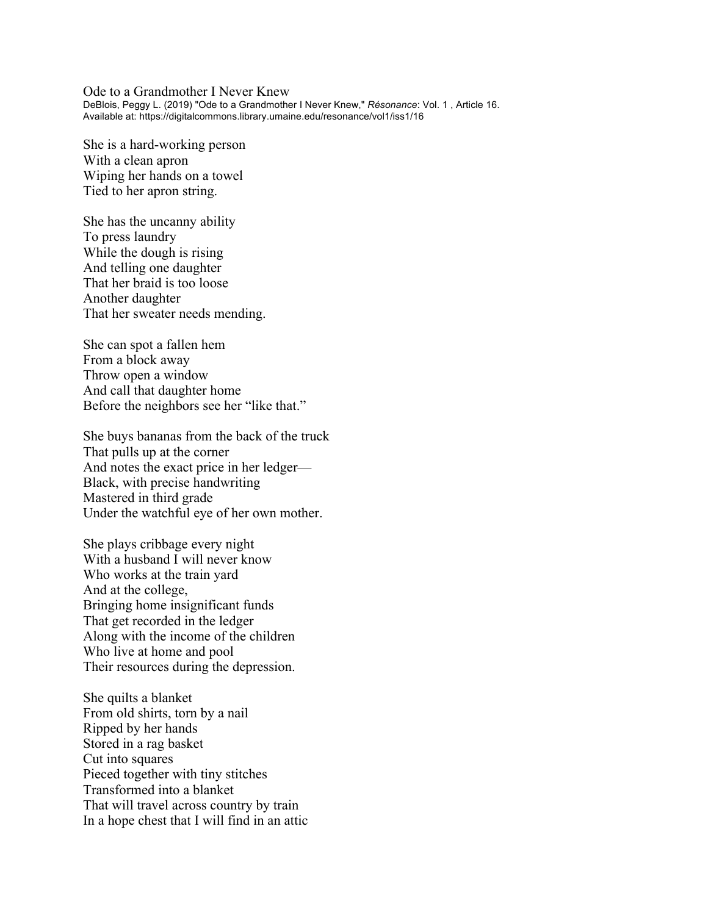Ode to a Grandmother I Never Knew DeBlois, Peggy L. (2019) "Ode to a Grandmother I Never Knew," *Résonance*: Vol. 1 , Article 16. Available at: https://digitalcommons.library.umaine.edu/resonance/vol1/iss1/16

She is a hard-working person With a clean apron Wiping her hands on a towel Tied to her apron string.

She has the uncanny ability To press laundry While the dough is rising And telling one daughter That her braid is too loose Another daughter That her sweater needs mending.

She can spot a fallen hem From a block away Throw open a window And call that daughter home Before the neighbors see her "like that."

She buys bananas from the back of the truck That pulls up at the corner And notes the exact price in her ledger— Black, with precise handwriting Mastered in third grade Under the watchful eye of her own mother.

She plays cribbage every night With a husband I will never know Who works at the train yard And at the college, Bringing home insignificant funds That get recorded in the ledger Along with the income of the children Who live at home and pool Their resources during the depression.

She quilts a blanket From old shirts, torn by a nail Ripped by her hands Stored in a rag basket Cut into squares Pieced together with tiny stitches Transformed into a blanket That will travel across country by train In a hope chest that I will find in an attic